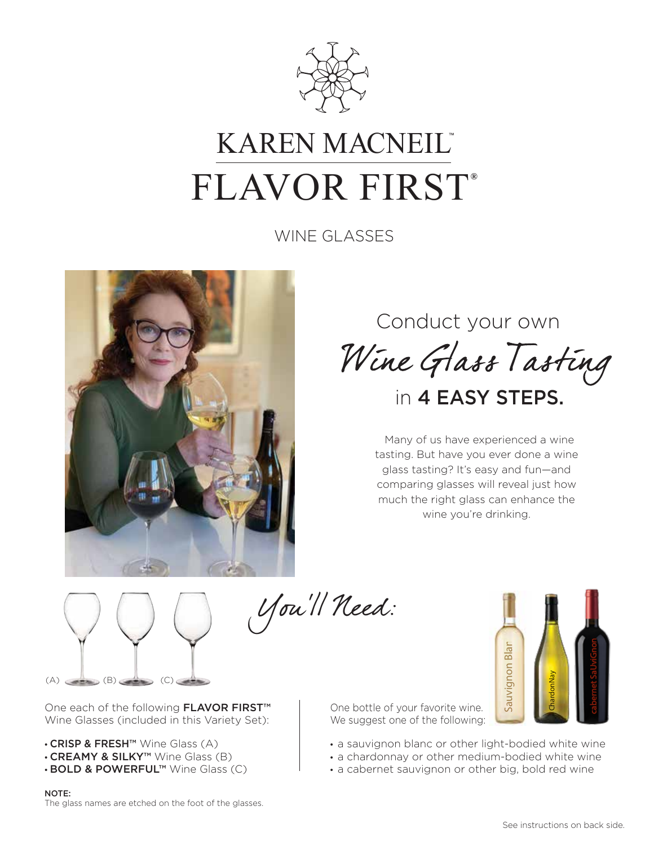

## KAREN MACNEIL<sup>®</sup>  $FLAVOR FIRST<sup>®</sup>$

WINE GLASSES



## Conduct your own Wine Glass Tasting in 4 EASY STEPS.

Many of us have experienced a wine tasting. But have you ever done a wine glass tasting? It's easy and fun—and comparing glasses will reveal just how much the right glass can enhance the wine you're drinking.



You'll Need:

One each of the following **FLAVOR FIRST™** Wine Glasses (included in this Variety Set):

- CRISP & FRESH™ Wine Glass (A)
- CREAMY & SILKY™ Wine Glass (B)
- BOLD & POWERFUL™ Wine Glass (C)

NOTE:

The glass names are etched on the foot of the glasses.

One bottle of your favorite wine. We suggest one of the following:

• a sauvignon blanc or other light-bodied white wine

Sauvignon Blan

Sauvignon Blan

- a chardonnay or other medium-bodied white wine
- a cabernet sauvignon or other big, bold red wine

ChardonNay

cabernet SaUviGnon